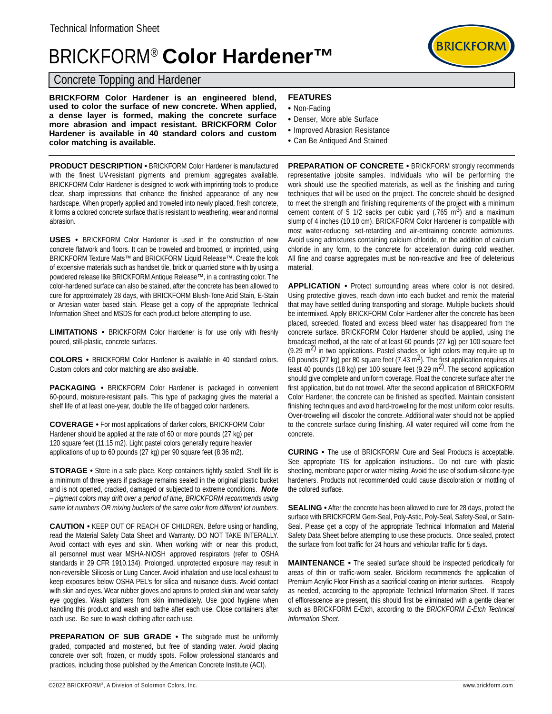## BRICKFORM® **Color Hardener™**

## Concrete Topping and Hardener

**BRICKFORM Color Hardener is an engineered blend, used to color the surface of new concrete. When applied, a dense layer is formed, making the concrete surface more abrasion and impact resistant. BRICKFORM Color Hardener is available in 40 standard colors and custom color matching is available.** 

**PRODUCT DESCRIPTION •** BRICKFORM Color Hardener is manufactured with the finest UV-resistant pigments and premium aggregates available. BRICKFORM Color Hardener is designed to work with imprinting tools to produce clear, sharp impressions that enhance the finished appearance of any new hardscape. When properly applied and troweled into newly placed, fresh concrete, it forms a colored concrete surface that is resistant to weathering, wear and normal abrasion.

**USES •** BRICKFORM Color Hardener is used in the construction of new concrete flatwork and floors. It can be troweled and broomed, or imprinted, using BRICKFORM Texture Mats™ and BRICKFORM Liquid Release™. Create the look of expensive materials such as handset tile, brick or quarried stone with by using a powdered release like BRICKFORM Antique Release™, in a contrasting color. The color-hardened surface can also be stained, after the concrete has been allowed to cure for approximately 28 days, with BRICKFORM Blush-Tone Acid Stain, E-Stain or Artesian water based stain. Please get a copy of the appropriate Technical Information Sheet and MSDS for each product before attempting to use.

**LIMITATIONS •** BRICKFORM Color Hardener is for use only with freshly poured, still-plastic, concrete surfaces.

**COLORS •** BRICKFORM Color Hardener is available in 40 standard colors. Custom colors and color matching are also available.

**PACKAGING •** BRICKFORM Color Hardener is packaged in convenient 60-pound, moisture-resistant pails. This type of packaging gives the material a shelf life of at least one-year, double the life of bagged color hardeners.

**COVERAGE •** For most applications of darker colors, BRICKFORM Color Hardener should be applied at the rate of 60 or more pounds (27 kg) per 120 square feet (11.15 m2). Light pastel colors generally require heavier applications of up to 60 pounds (27 kg) per 90 square feet (8.36 m2).

**STORAGE •** Store in a safe place. Keep containers tightly sealed. Shelf life is a minimum of three years if package remains sealed in the original plastic bucket and is not opened, cracked, damaged or subjected to extreme conditions. *Note – pigment colors may drift over a period of time, BRICKFORM recommends using same lot numbers OR mixing buckets of the same color from different lot numbers.*

**CAUTION •** KEEP OUT OF REACH OF CHILDREN. Before using or handling, read the Material Safety Data Sheet and Warranty. DO NOT TAKE INTERALLY. Avoid contact with eyes and skin. When working with or near this product, all personnel must wear MSHA-NIOSH approved respirators (refer to OSHA standards in 29 CFR 1910.134). Prolonged, unprotected exposure may result in non-reversible Silicosis or Lung Cancer. Avoid inhalation and use local exhaust to keep exposures below OSHA PEL's for silica and nuisance dusts. Avoid contact with skin and eyes. Wear rubber gloves and aprons to protect skin and wear safety eye goggles. Wash splatters from skin immediately. Use good hygiene when handling this product and wash and bathe after each use. Close containers after each use. Be sure to wash clothing after each use.

**PREPARATION OF SUB GRADE •** The subgrade must be uniformly graded, compacted and moistened, but free of standing water. Avoid placing concrete over soft, frozen, or muddy spots. Follow professional standards and practices, including those published by the American Concrete Institute (ACI).

- Non-Fading
- Denser, More able Surface
- Improved Abrasion Resistance
- Can Be Antiqued And Stained

**PREPARATION OF CONCRETE •** BRICKFORM strongly recommends representative jobsite samples. Individuals who will be performing the work should use the specified materials, as well as the finishing and curing techniques that will be used on the project. The concrete should be designed to meet the strength and finishing requirements of the project with a minimum cement content of 5 1/2 sacks per cubic yard  $(.765 \text{ m}^3)$  and a maximum slump of 4 inches (10.10 cm). BRICKFORM Color Hardener is compatible with most water-reducing, set-retarding and air-entraining concrete admixtures. Avoid using admixtures containing calcium chloride, or the addition of calcium chloride in any form, to the concrete for acceleration during cold weather. All fine and coarse aggregates must be non-reactive and free of deleterious material.

**APPLICATION •** Protect surrounding areas where color is not desired. Using protective gloves, reach down into each bucket and remix the material that may have settled during transporting and storage. Multiple buckets should be intermixed. Apply BRICKFORM Color Hardener after the concrete has been placed, screeded, floated and excess bleed water has disappeared from the concrete surface. BRICKFORM Color Hardener should be applied, using the broadcast method, at the rate of at least 60 pounds (27 kg) per 100 square feet  $(9.29 \text{ m}^2)$  in two applications. Pastel shades or light colors may require up to 60 pounds (27 kg) per 80 square feet (7.43 m<sup>2</sup>). The first application requires at least 40 pounds (18 kg) per 100 square feet (9.29 m<sup>2)</sup>. The second application should give complete and uniform coverage. Float the concrete surface after the first application, but do not trowel. After the second application of BRICKFORM Color Hardener, the concrete can be finished as specified. Maintain consistent finishing techniques and avoid hard-troweling for the most uniform color results. Over-troweling will discolor the concrete. Additional water should not be applied to the concrete surface during finishing. All water required will come from the concrete.

**CURING •** The use of BRICKFORM Cure and Seal Products is acceptable. See appropriate TIS for application instructions.. Do not cure with plastic sheeting, membrane paper or water misting. Avoid the use of sodium-silicone-type hardeners. Products not recommended could cause discoloration or mottling of the colored surface.

**SEALING •** After the concrete has been allowed to cure for 28 days, protect the surface with BRICKFORM Gem-Seal, Poly-Astic, Poly-Seal, Safety-Seal, or Satin-Seal. Please get a copy of the appropriate Technical Information and Material Safety Data Sheet before attempting to use these products. Once sealed, protect the surface from foot traffic for 24 hours and vehicular traffic for 5 days.

**MAINTENANCE •** The sealed surface should be inspected periodically for areas of thin or traffic-worn sealer. Brickform recommends the application of Premium Acrylic Floor Finish as a sacrificial coating on interior surfaces. Reapply as needed, according to the appropriate Technical Information Sheet. If traces of efflorescence are present, this should first be eliminated with a gentle cleaner such as BRICKFORM E-Etch, according to the *BRICKFORM E-Etch Technical Information Sheet.*

©2022 BRICKFORM®, A Division of Solormon Colors, Inc. www.brickform.com